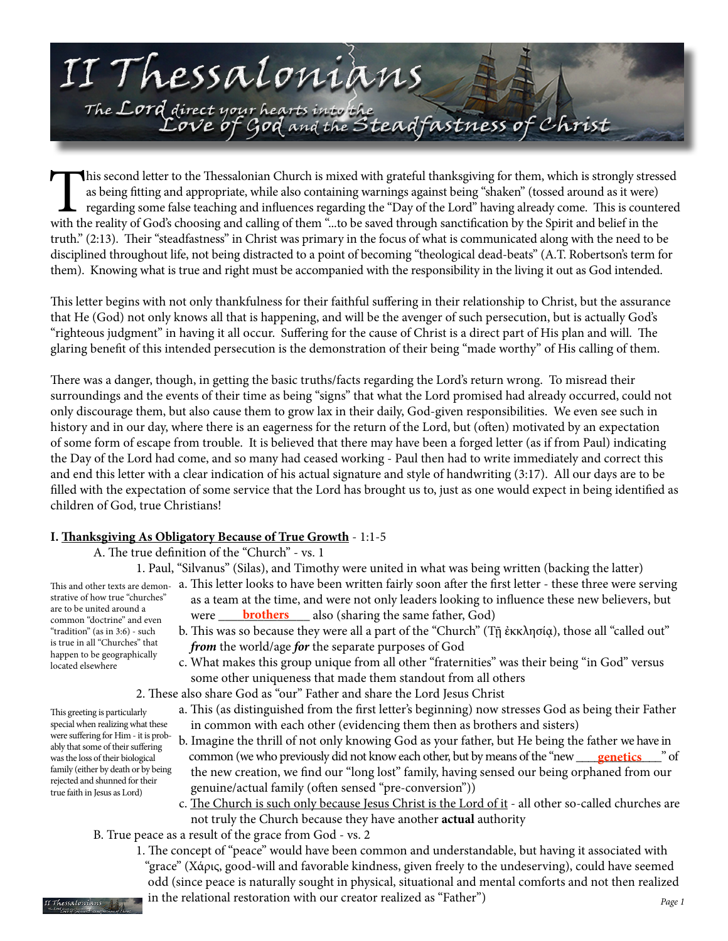

This second letter to the Thessalonian Church is mixed with grateful thanksgiving for them, which is strongly stressed as being fitting and appropriate, while also containing warnings against being "shaken" (tossed around as it were) regarding some false teaching and influences regarding the "Day of the Lord" having already come. This is countered with the reality of God's choosing and calling of them "...to be saved through sanctification by the Spirit and belief in the truth." (2:13). Their "steadfastness" in Christ was primary in the focus of what is communicated along with the need to be disciplined throughout life, not being distracted to a point of becoming "theological dead-beats" (A.T. Robertson's term for them). Knowing what is true and right must be accompanied with the responsibility in the living it out as God intended.

This letter begins with not only thankfulness for their faithful suffering in their relationship to Christ, but the assurance that He (God) not only knows all that is happening, and will be the avenger of such persecution, but is actually God's "righteous judgment" in having it all occur. Suffering for the cause of Christ is a direct part of His plan and will. The glaring benefit of this intended persecution is the demonstration of their being "made worthy" of His calling of them.

There was a danger, though, in getting the basic truths/facts regarding the Lord's return wrong. To misread their surroundings and the events of their time as being "signs" that what the Lord promised had already occurred, could not only discourage them, but also cause them to grow lax in their daily, God-given responsibilities. We even see such in history and in our day, where there is an eagerness for the return of the Lord, but (often) motivated by an expectation of some form of escape from trouble. It is believed that there may have been a forged letter (as if from Paul) indicating the Day of the Lord had come, and so many had ceased working - Paul then had to write immediately and correct this and end this letter with a clear indication of his actual signature and style of handwriting (3:17). All our days are to be filled with the expectation of some service that the Lord has brought us to, just as one would expect in being identified as children of God, true Christians!

# **I. Thanksgiving As Obligatory Because of True Growth** - 1:1-5

A. The true definition of the "Church" - vs. 1

1. Paul, "Silvanus" (Silas), and Timothy were united in what was being written (backing the latter)

strative of how true "churches" are to be united around a common "doctrine" and even "tradition" (as in 3:6) - such is true in all "Churches" that happen to be geographically located elsewhere

This greeting is particularly

ably that some of their suffering was the loss of their biological family (either by death or by being rejected and shunned for their true faith in Jesus as Lord)

- This and other texts are demon-  $\,$  a. This letter looks to have been written fairly soon after the first letter these three were serving as a team at the time, and were not only leaders looking to influence these new believers, but are to be unded around a<br>common "doctrine" and even **brothers** also (sharing the same father, God)
	- b. This was so because they were all a part of the "Church" (Τῇ ἐκκλησίᾳ), those all "called out" *from* the world/age *for* the separate purposes of God
	- c. What makes this group unique from all other "fraternities" was their being "in God" versus some other uniqueness that made them standout from all others

2. These also share God as "our" Father and share the Lord Jesus Christ

- a. This (as distinguished from the first letter's beginning) now stresses God as being their Father in common with each other (evidencing them then as brothers and sisters) special when realizing what these were suffering for Him - it is prob
	- b. Imagine the thrill of not only knowing God as your father, but He being the father we have in common (we who previously did not know each other, but by means of the "new \_\_\_\_\_ the new creation, we find our "long lost" family, having sensed our being orphaned from our genuine/actual family (often sensed "pre-conversion")) **genetics** " of
	- c. The Church is such only because Jesus Christ is the Lord of it all other so-called churches are not truly the Church because they have another **actual** authority
	- B. True peace as a result of the grace from God vs. 2
	- 1. The concept of "peace" would have been common and understandable, but having it associated with "grace" (Χάρις, good-will and favorable kindness, given freely to the undeserving), could have seemed odd (since peace is naturally sought in physical, situational and mental comforts and not then realized  $\mathcal{I}_{\mathcal{S}^{AdoulANS}}$  in the relational restoration with our creator realized as "Father")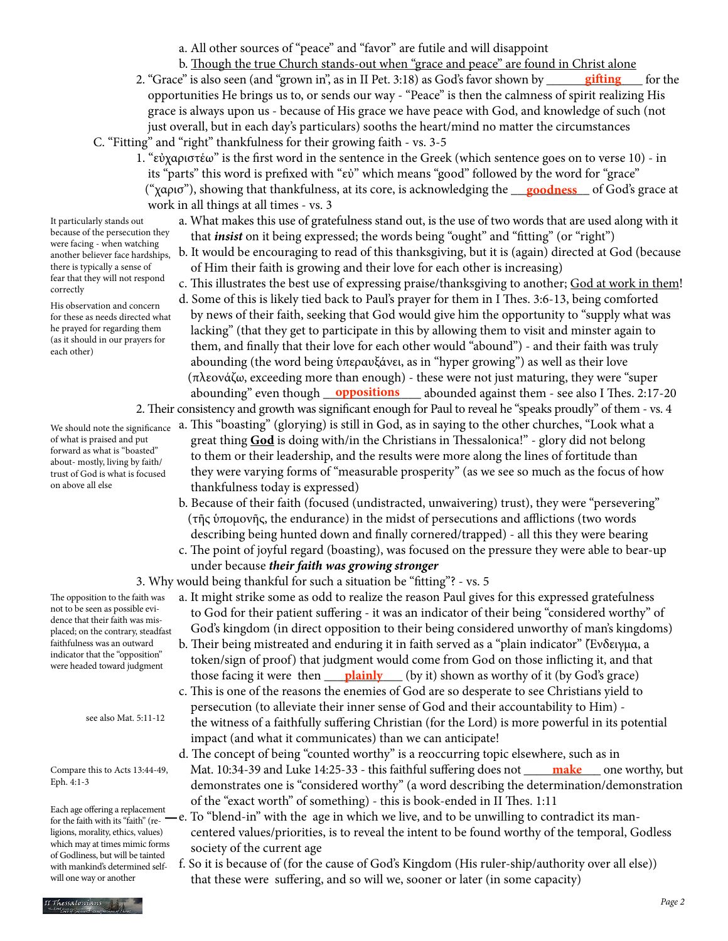a. All other sources of "peace" and "favor" are futile and will disappoint

- b. Though the true Church stands-out when "grace and peace" are found in Christ alone
- 2. "Grace" is also seen (and "grown in", as in II Pet. 3:18) as God's favor shown by opportunities He brings us to, or sends our way - "Peace" is then the calmness of spirit realizing His grace is always upon us - because of His grace we have peace with God, and knowledge of such (not just overall, but in each day's particulars) sooths the heart/mind no matter the circumstances C. "Fitting" and "right" thankfulness for their growing faith - vs. 3-5 **gifting** for the
- 1. "εὐχαριστέω" is the first word in the sentence in the Greek (which sentence goes on to verse 10) in its "parts" this word is prefixed with "εὐ" which means "good" followed by the word for "grace" ("χαρισ"), showing that thankfulness, at its core, is acknowledging the <u>goodness</u> of God's grace at work in all things at all times - vs. 3
	- a. What makes this use of gratefulness stand out, is the use of two words that are used along with it that *insist* on it being expressed; the words being "ought" and "fitting" (or "right")
	- b. It would be encouraging to read of this thanksgiving, but it is (again) directed at God (because of Him their faith is growing and their love for each other is increasing)
	- c. This illustrates the best use of expressing praise/thanksgiving to another; God at work in them!
- d. Some of this is likely tied back to Paul's prayer for them in I Thes. 3:6-13, being comforted by news of their faith, seeking that God would give him the opportunity to "supply what was lacking" (that they get to participate in this by allowing them to visit and minster again to them, and finally that their love for each other would "abound") - and their faith was truly abounding (the word being ὑπεραυξάνει, as in "hyper growing") as well as their love (πλεονάζω, exceeding more than enough) - these were not just maturing, they were "super abounding" even though <u>oppositions</u> abounded against them - see also I Thes. 2:17-20 2. Their consistency and growth was significant enough for Paul to reveal he "speaks proudly" of them - vs. 4

a. This "boasting" (glorying) is still in God, as in saying to the other churches, "Look what a

- great thing **God** is doing with/in the Christians in Thessalonica!" glory did not belong to them or their leadership, and the results were more along the lines of fortitude than they were varying forms of "measurable prosperity" (as we see so much as the focus of how thankfulness today is expressed)
- b. Because of their faith (focused (undistracted, unwaivering) trust), they were "persevering" (τῆς ὑπομονῆς, the endurance) in the midst of persecutions and afflictions (two words describing being hunted down and finally cornered/trapped) - all this they were bearing
- c. The point of joyful regard (boasting), was focused on the pressure they were able to bear-up under because *their faith was growing stronger*

### 3. Why would being thankful for such a situation be "fitting"? - vs. 5

- a. It might strike some as odd to realize the reason Paul gives for this expressed gratefulness to God for their patient suffering - it was an indicator of their being "considered worthy" of God's kingdom (in direct opposition to their being considered unworthy of man's kingdoms)
- b. Their being mistreated and enduring it in faith served as a "plain indicator" (Ἔνδειγμα, a token/sign of proof) that judgment would come from God on those inflicting it, and that those facing it were then <u>plainly</u> (by it) shown as worthy of it (by God's grace)
	- c. This is one of the reasons the enemies of God are so desperate to see Christians yield to persecution (to alleviate their inner sense of God and their accountability to Him) the witness of a faithfully suffering Christian (for the Lord) is more powerful in its potential impact (and what it communicates) than we can anticipate!
- d. The concept of being "counted worthy" is a reoccurring topic elsewhere, such as in Compare this to Acts 13:44-49, Mat. 10:34-39 and Luke 14:25-33 - this faithful suffering does not <u>\_\_\_\_\_**make**</u>\_\_\_\_one worthy, but demonstrates one is "considered worthy" (a word describing the determination/demonstration of the "exact worth" of something) - this is book-ended in II Thes. 1:11
	- e. To "blend-in" with the age in which we live, and to be unwilling to contradict its man centered values/priorities, is to reveal the intent to be found worthy of the temporal, Godless society of the current age
	- f. So it is because of (for the cause of God's Kingdom (His ruler-ship/authority over all else)) that these were suffering, and so will we, sooner or later (in some capacity)

It particularly stands out because of the persecution they were facing - when watching another believer face hardships, there is typically a sense of fear that they will not respond correctly

His observation and concern for these as needs directed what he prayed for regarding them (as it should in our prayers for each other)

We should note the significance of what is praised and put forward as what is "boasted" about- mostly, living by faith/ trust of God is what is focused on above all else

The opposition to the faith was not to be seen as possible evidence that their faith was misplaced; on the contrary, steadfast faithfulness was an outward indicator that the "opposition" were headed toward judgment

see also Mat. 5:11-12

Compare this to Acts 13:44-49, Eph. 4:1-3

Each age offering a replacement for the faith with its "faith" (religions, morality, ethics, values) which may at times mimic forms of Godliness, but will be tainted with mankind's determined selfwill one way or another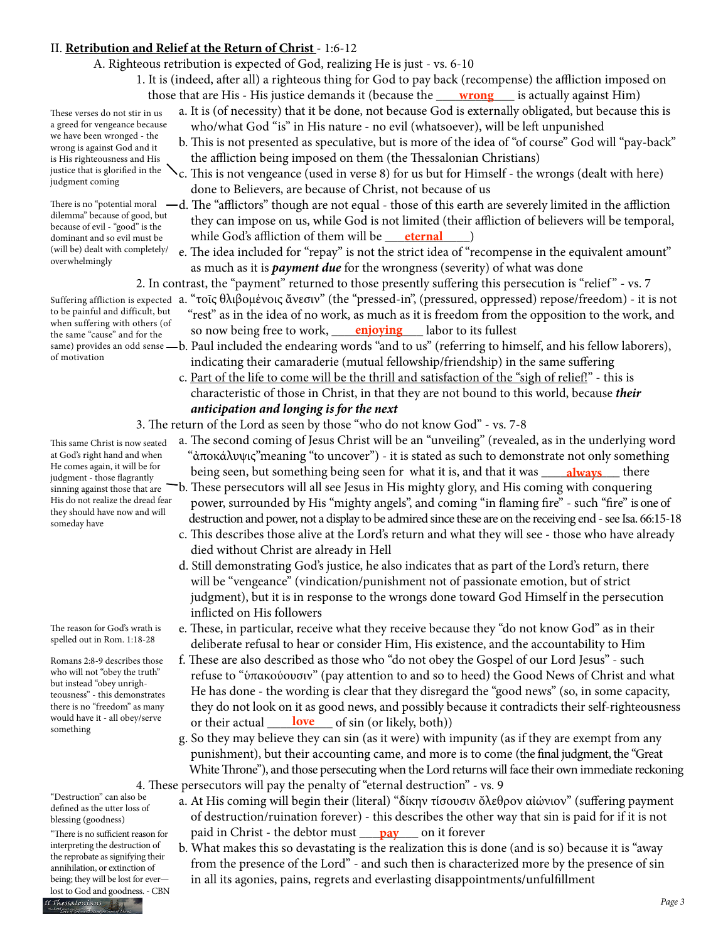# II. **Retribution and Relief at the Return of Christ** - 1:6-12

- A. Righteous retribution is expected of God, realizing He is just vs. 6-10
- 1. It is (indeed, after all) a righteous thing for God to pay back (recompense) the affliction imposed on those that are His - His justice demands it (because the <u>wrong</u> \_\_\_\_ is actually against Him)
	- a. It is (of necessity) that it be done, not because God is externally obligated, but because this is who/what God "is" in His nature - no evil (whatsoever), will be left unpunished
		- b. This is not presented as speculative, but is more of the idea of "of course" God will "pay-back" the affliction being imposed on them (the Thessalonian Christians)
		- c. This is not vengeance (used in verse 8) for us but for Himself the wrongs (dealt with here) done to Believers, are because of Christ, not because of us
- There is no "potential moral  $-d$ . The "afflictors" though are not equal those of this earth are severely limited in the affliction they can impose on us, while God is not limited (their affliction of believers will be temporal, dominant and so evil must be while God's affliction of them will be <u>eternal</u>
	- e. The idea included for "repay" is not the strict idea of "recompense in the equivalent amount" as much as it is *payment due* for the wrongness (severity) of what was done
	- 2. In contrast, the "payment" returned to those presently suffering this persecution is "relief " vs. 7
- suffering affliction is expected a. "τοῖς θλιβομένοις ἄνεσιν" (the "pressed-in", (pressured, oppressed) repose/freedom) it is not "rest" as in the idea of no work, as much as it is freedom from the opposition to the work, and the same "cause" and for the same "cause" and for the same "cause" and for the same "cause" and for the same was
- same) provides an odd sense —b. Paul included the endearing words "and to us" (referring to himself, and his fellow laborers), indicating their camaraderie (mutual fellowship/friendship) in the same suffering
	- c. Part of the life to come will be the thrill and satisfaction of the "sigh of relief!" this is characteristic of those in Christ, in that they are not bound to this world, because *their anticipation and longing is for the next*
	- 3. The return of the Lord as seen by those "who do not know God" vs. 7-8
- a. The second coming of Jesus Christ will be an "unveiling" (revealed, as in the underlying word "ἀποκάλυψις"meaning "to uncover") - it is stated as such to demonstrate not only something ne comes again, it will be for **the solut something being seen for** what it is, and that it was <u>always</u> there
	- b. These persecutors will all see Jesus in His mighty glory, and His coming with conquering power, surrounded by His "mighty angels", and coming "in flaming fire" - such "fire" is one of destruction and power, not a display to be admired since these are on the receiving end - see Isa. 66:15-18
	- c. This describes those alive at the Lord's return and what they will see those who have already died without Christ are already in Hell
	- d. Still demonstrating God's justice, he also indicates that as part of the Lord's return, there will be "vengeance" (vindication/punishment not of passionate emotion, but of strict judgment), but it is in response to the wrongs done toward God Himself in the persecution inflicted on His followers
	- e. These, in particular, receive what they receive because they "do not know God" as in their deliberate refusal to hear or consider Him, His existence, and the accountability to Him
- f. These are also described as those who "do not obey the Gospel of our Lord Jesus" such refuse to "ὑπακούουσιν" (pay attention to and so to heed) the Good News of Christ and what He has done - the wording is clear that they disregard the "good news" (so, in some capacity, they do not look on it as good news, and possibly because it contradicts their self-righteousness would have it - all obey/serve or their actual <u>love</u> of sin (or likely, both))
	- g. So they may believe they can sin (as it were) with impunity (as if they are exempt from any punishment), but their accounting came, and more is to come (the final judgment, the "Great White Throne"), and those persecuting when the Lord returns will face their own immediate reckoning 4. These persecutors will pay the penalty of "eternal destruction" - vs. 9
- a. At His coming will begin their (literal) "δίκην τίσουσιν ὄλεθρον αἰώνιον" (suffering payment of destruction/ruination forever) - this describes the other way that sin is paid for if it is not "There is no sufficient reason for **paid in Christ - the debtor must <u>pay</u> on it forever** 
	- b. What makes this so devastating is the realization this is done (and is so) because it is "away from the presence of the Lord" - and such then is characterized more by the presence of sin in all its agonies, pains, regrets and everlasting disappointments/unfulfillment

These verses do not stir in us a greed for vengeance because we have been wronged - the wrong is against God and it is His righteousness and His justice that is glorified in the judgment coming

dilemma" because of good, but because of evil - "good" is the dominant and so evil must be (will be) dealt with completely/ overwhelmingly

to be painful and difficult, but when suffering with others (of the same "cause" and for the of motivation

This same Christ is now seated at God's right hand and when He comes again, it will be for judgment - those flagrantly sinning against those that are His do not realize the dread fear they should have now and will someday have

The reason for God's wrath is spelled out in Rom. 1:18-28

Romans 2:8-9 describes those who will not "obey the truth" but instead "obey unrighteousness" - this demonstrates there is no "freedom" as many would have it - all obey/serve something

"Destruction" can also be defined as the utter loss of blessing (goodness)

"There is no sufficient reason for interpreting the destruction of the reprobate as signifying their annihilation, or extinction of being; they will be lost for ever lost to God and goodness. - CBN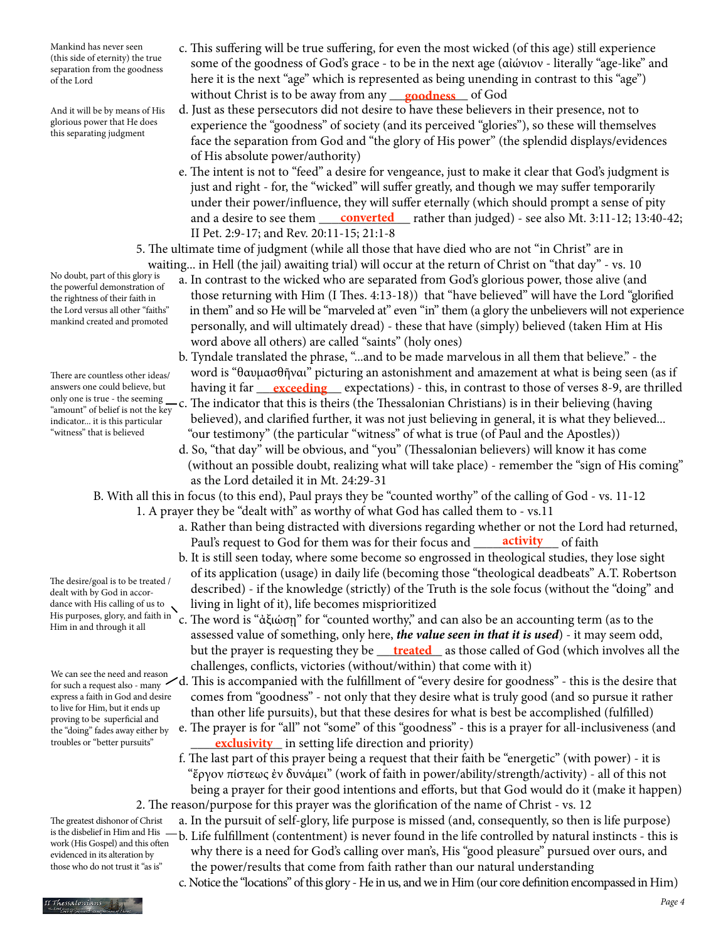Mankind has never seen (this side of eternity) the true separation from the goodness of the Lord

And it will be by means of His glorious power that He does this separating judgment

No doubt, part of this glory is the powerful demonstration of the rightness of their faith in the Lord versus all other "faiths" mankind created and promoted

There are countless other ideas/ answers one could believe, but only one is true - the seeming "amount" of belief is not the key indicator... it is this particular "witness" that is believed

dealt with by God in accordance with His calling of us to Him in and through it all

The desire/goal is to be treated /

We can see the need and reason express a faith in God and desire to live for Him, but it ends up proving to be superficial and the "doing" fades away either by troubles or "better pursuits"

- c. This suffering will be true suffering, for even the most wicked (of this age) still experience some of the goodness of God's grace - to be in the next age (αἰώνιον - literally "age-like" and here it is the next "age" which is represented as being unending in contrast to this "age") without Christ is to be away from any <u>goodness</u> of God
	- d. Just as these persecutors did not desire to have these believers in their presence, not to experience the "goodness" of society (and its perceived "glories"), so these will themselves face the separation from God and "the glory of His power" (the splendid displays/evidences of His absolute power/authority)
- e. The intent is not to "feed" a desire for vengeance, just to make it clear that God's judgment is just and right - for, the "wicked" will suffer greatly, and though we may suffer temporarily under their power/influence, they will suffer eternally (which should prompt a sense of pity and a desire to see them <u>converted</u> rather than judged) - see also Mt. 3:11-12; 13:40-42; II Pet. 2:9-17; and Rev. 20:11-15; 21:1-8
	- 5. The ultimate time of judgment (while all those that have died who are not "in Christ" are in waiting... in Hell (the jail) awaiting trial) will occur at the return of Christ on "that day" - vs. 10
		- a. In contrast to the wicked who are separated from God's glorious power, those alive (and those returning with Him (I Thes. 4:13-18)) that "have believed" will have the Lord "glorified in them" and so He will be "marveled at" even "in" them (a glory the unbelievers will not experience personally, and will ultimately dread) - these that have (simply) believed (taken Him at His word above all others) are called "saints" (holy ones)
- b. Tyndale translated the phrase, "...and to be made marvelous in all them that believe." the word is "θαυμασθῆναι" picturing an astonishment and amazement at what is being seen (as if answers one could believe, but having it far <u>exceeding</u> expectations) - this, in contrast to those of verses 8-9, are thrilled
	- $-c$ . The indicator that this is theirs (the Thessalonian Christians) is in their believing (having believed), and clarified further, it was not just believing in general, it is what they believed... "our testimony" (the particular "witness" of what is true (of Paul and the Apostles))
		- d. So, "that day" will be obvious, and "you" (Thessalonian believers) will know it has come (without an possible doubt, realizing what will take place) - remember the "sign of His coming" as the Lord detailed it in Mt. 24:29-31
	- B. With all this in focus (to this end), Paul prays they be "counted worthy" of the calling of God vs. 11-12
		- 1. A prayer they be "dealt with" as worthy of what God has called them to vs.11
- a. Rather than being distracted with diversions regarding whether or not the Lord had returned, Paul's request to God for them was for their focus and **\_\_\_\_\_\_\_activity** \_\_\_\_ of faith
- b. It is still seen today, where some become so engrossed in theological studies, they lose sight of its application (usage) in daily life (becoming those "theological deadbeats" A.T. Robertson described) - if the knowledge (strictly) of the Truth is the sole focus (without the "doing" and dance with His calling of us to  $\searrow$  living in light of it), life becomes misprioritized
- His purposes, glory, and faith in `c. The word is "ἀξιώσῃ" for "counted worthy," and can also be an accounting term (as to the assessed value of something, only here, *the value seen in that it is used*) - it may seem odd, but the prayer is requesting they be <u>\_\_\_\_t**reated**\_\_</u> as those called of God (which involves all the challenges, conflicts, victories (without/within) that come with it)
- for such a request also many  $\checkmark$ d. This is accompanied with the fulfillment of "every desire for goodness" this is the desire that comes from "goodness" - not only that they desire what is truly good (and so pursue it rather than other life pursuits), but that these desires for what is best be accomplished (fulfilled)
- e. The prayer is for "all" not "some" of this "goodness" this is a prayer for all-inclusiveness (and troubles or "better pursuits" **exclusivity** in setting life direction and priority)
	- f. The last part of this prayer being a request that their faith be "energetic" (with power) it is "ἔργον πίστεως ἐν δυνάμει" (work of faith in power/ability/strength/activity) - all of this not being a prayer for their good intentions and efforts, but that God would do it (make it happen) 2. The reason/purpose for this prayer was the glorification of the name of Christ - vs. 12
- a. In the pursuit of self-glory, life purpose is missed (and, consequently, so then is life purpose) b. Life fulfillment (contentment) is never found in the life controlled by natural instincts - this is is the disbelief in Him and His work (His Gospel) and this often
	- why there is a need for God's calling over man's, His "good pleasure" pursued over ours, and the power/results that come from faith rather than our natural understanding
		- c. Notice the "locations" of this glory He in us, and we in Him (our core definition encompassed in Him)

The greatest dishonor of Christ

evidenced in its alteration by those who do not trust it "as is"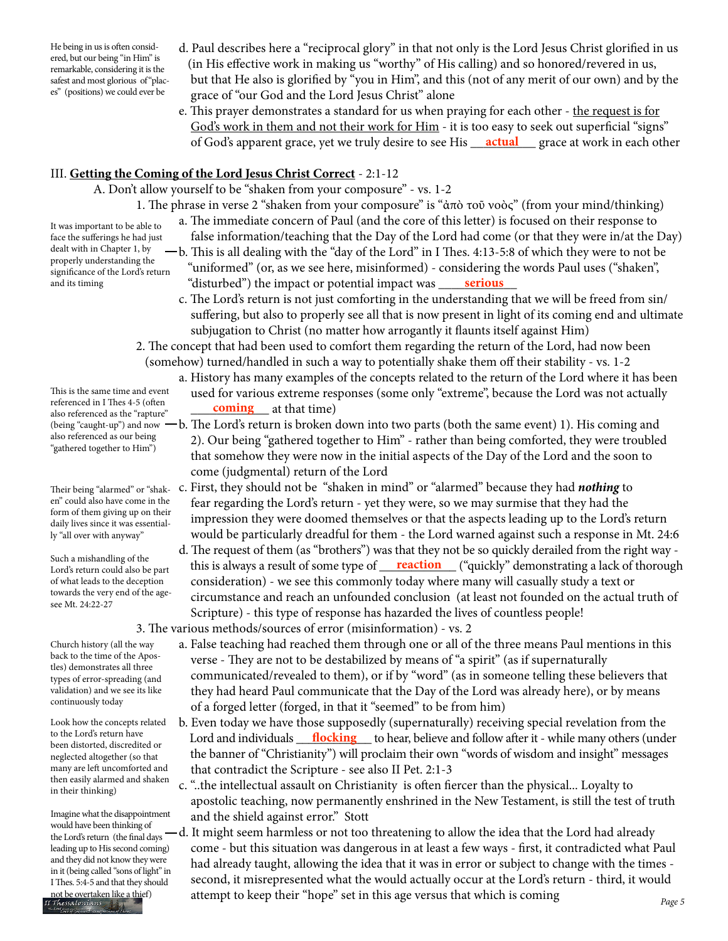He being in us is often considered, but our being "in Him" is remarkable, considering it is the safest and most glorious of"places" (positions) we could ever be

It was important to be able to face the sufferings he had just dealt with in Chapter 1, by properly understanding the significance of the Lord's return

and its timing

- d. Paul describes here a "reciprocal glory" in that not only is the Lord Jesus Christ glorified in us (in His effective work in making us "worthy" of His calling) and so honored/revered in us, but that He also is glorified by "you in Him", and this (not of any merit of our own) and by the grace of "our God and the Lord Jesus Christ" alone
- e. This prayer demonstrates a standard for us when praying for each other the request is for God's work in them and not their work for Him - it is too easy to seek out superficial "signs" of God's apparent grace, yet we truly desire to see His <u>\_\_\_**actual** \_\_\_\_\_</u> grace at work in each other

# III. **Getting the Coming of the Lord Jesus Christ Correct** - 2:1-12

A. Don't allow yourself to be "shaken from your composure" - vs. 1-2

- 1. The phrase in verse 2 "shaken from your composure" is "ἀπὸ τοῦ νοὸς" (from your mind/thinking)
	- a. The immediate concern of Paul (and the core of this letter) is focused on their response to
		- false information/teaching that the Day of the Lord had come (or that they were in/at the Day)
- b. This is all dealing with the "day of the Lord" in I Thes. 4:13-5:8 of which they were to not be "uniformed" (or, as we see here, misinformed) - considering the words Paul uses ("shaken", and its timing **the serious** "disturbed") the impact or potential impact was <u>serious</u>
	- c. The Lord's return is not just comforting in the understanding that we will be freed from sin/ suffering, but also to properly see all that is now present in light of its coming end and ultimate subjugation to Christ (no matter how arrogantly it flaunts itself against Him)
	- 2. The concept that had been used to comfort them regarding the return of the Lord, had now been (somehow) turned/handled in such a way to potentially shake them off their stability - vs. 1-2
		- a. History has many examples of the concepts related to the return of the Lord where it has been used for various extreme responses (some only "extreme", because the Lord was not actually
		- b. The Lord's return is broken down into two parts (both the same event) 1). His coming and 2). Our being "gathered together to Him" - rather than being comforted, they were troubled that somehow they were now in the initial aspects of the Day of the Lord and the soon to come (judgmental) return of the Lord
		- c. First, they should not be "shaken in mind" or "alarmed" because they had *nothing* to fear regarding the Lord's return - yet they were, so we may surmise that they had the impression they were doomed themselves or that the aspects leading up to the Lord's return would be particularly dreadful for them - the Lord warned against such a response in Mt. 24:6
- d. The request of them (as "brothers") was that they not be so quickly derailed from the right way Lord's return could also be part his is always a result of some type of <u>reaction</u> ("quickly" demonstrating a lack of thorough ("Lord's return could also be part consideration) - we see this commonly today where many will casually study a text or circumstance and reach an unfounded conclusion (at least not founded on the actual truth of Scripture) - this type of response has hazarded the lives of countless people!

3. The various methods/sources of error (misinformation) - vs. 2

- a. False teaching had reached them through one or all of the three means Paul mentions in this verse - They are not to be destabilized by means of "a spirit" (as if supernaturally communicated/revealed to them), or if by "word" (as in someone telling these believers that they had heard Paul communicate that the Day of the Lord was already here), or by means of a forged letter (forged, in that it "seemed" to be from him)
- b. Even today we have those supposedly (supernaturally) receiving special revelation from the to the Lord's return have **Lord and individuals flocking** to hear, believe and follow after it - while many others (under hear, helieve and follow after it - while many others (under the banner of "Christianity") will proclaim their own "words of wisdom and insight" messages that contradict the Scripture - see also II Pet. 2:1-3
	- c. "..the intellectual assault on Christianity is often fiercer than the physical... Loyalty to apostolic teaching, now permanently enshrined in the New Testament, is still the test of truth and the shield against error." Stott
- -d. It might seem harmless or not too threatening to allow the idea that the Lord had already come - but this situation was dangerous in at least a few ways - first, it contradicted what Paul had already taught, allowing the idea that it was in error or subject to change with the times second, it misrepresented what the would actually occur at the Lord's return - third, it would not be overtaken like a thief) attempt to keep their "hope" set in this age versus that which is coming  $\tau_{\rm{less}dens}$

referenced in 1 Thes 4-5 (often<br>also referenced as the "rapture" **coming** at that time) This is the same time and event referenced in I Thes 4-5 (often also referenced as the "rapture" (being "caught-up") and now also referenced as our being "gathered together to Him")

Their being "alarmed" or "shaken" could also have come in the form of them giving up on their daily lives since it was essentially "all over with anyway"

Such a mishandling of the Lord's return could also be part of what leads to the deception towards the very end of the agesee Mt. 24:22-27

Church history (all the way back to the time of the Apostles) demonstrates all three types of error-spreading (and validation) and we see its like continuously today

Look how the concepts related to the Lord's return have been distorted, discredited or neglected altogether (so that many are left uncomforted and then easily alarmed and shaken in their thinking)

Imagine what the disappointment would have been thinking of the Lord's return (the final days leading up to His second coming) and they did not know they were in it (being called "sons of light" in I Thes. 5:4-5 and that they should not be overtaken like a thief)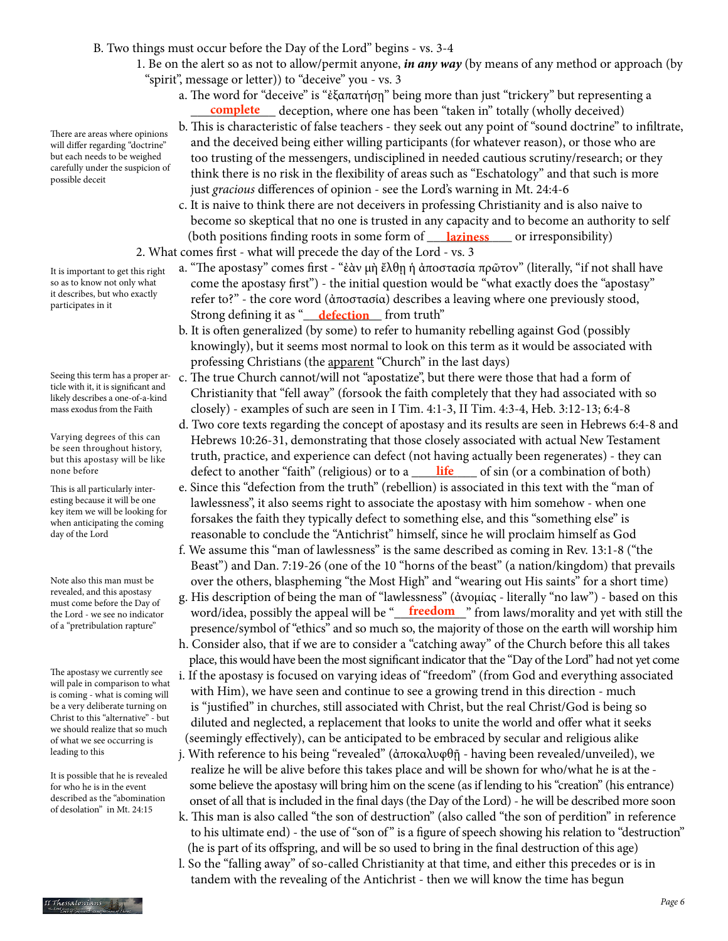- B. Two things must occur before the Day of the Lord" begins vs. 3-4
	- 1. Be on the alert so as not to allow/permit anyone, *in any way* (by means of any method or approach (by "spirit", message or letter)) to "deceive" you - vs. 3
- a. The word for "deceive" is "ἐξαπατήση" being more than just "trickery" but representing a **complete** deception, where one has been "taken in" totally (wholly deceived)
	- b. This is characteristic of false teachers they seek out any point of "sound doctrine" to infiltrate, and the deceived being either willing participants (for whatever reason), or those who are too trusting of the messengers, undisciplined in needed cautious scrutiny/research; or they think there is no risk in the flexibility of areas such as "Eschatology" and that such is more just *gracious* differences of opinion - see the Lord's warning in Mt. 24:4-6
- c. It is naive to think there are not deceivers in professing Christianity and is also naive to become so skeptical that no one is trusted in any capacity and to become an authority to self (both positions finding roots in some form of \_\_\_\_\_\_\_\_\_\_\_\_\_ or irresponsibility) **laziness**
	- 2. What comes first what will precede the day of the Lord vs. 3
- a. "The apostasy" comes first "ἐὰν μὴ ἔλθῃ ἡ ἀποστασία πρῶτον" (literally, "if not shall have come the apostasy first") - the initial question would be "what exactly does the "apostasy" refer to?" - the core word (ἀποστασία) describes a leaving where one previously stood, **Example 1** Strong defining it as "**defection** from truth"
	- b. It is often generalized (by some) to refer to humanity rebelling against God (possibly knowingly), but it seems most normal to look on this term as it would be associated with professing Christians (the apparent "Church" in the last days)
	- c. The true Church cannot/will not "apostatize", but there were those that had a form of Christianity that "fell away" (forsook the faith completely that they had associated with so closely) - examples of such are seen in I Tim. 4:1-3, II Tim. 4:3-4, Heb. 3:12-13; 6:4-8
- d. Two core texts regarding the concept of apostasy and its results are seen in Hebrews 6:4-8 and Hebrews 10:26-31, demonstrating that those closely associated with actual New Testament truth, practice, and experience can defect (not having actually been regenerates) - they can none before **defect to another "faith"** (religious) or to a <u>life of sin</u> (or a combination of both)
	- e. Since this "defection from the truth" (rebellion) is associated in this text with the "man of lawlessness", it also seems right to associate the apostasy with him somehow - when one forsakes the faith they typically defect to something else, and this "something else" is reasonable to conclude the "Antichrist" himself, since he will proclaim himself as God
	- f. We assume this "man of lawlessness" is the same described as coming in Rev. 13:1-8 ("the Beast") and Dan. 7:19-26 (one of the 10 "horns of the beast" (a nation/kingdom) that prevails over the others, blaspheming "the Most High" and "wearing out His saints" for a short time)
- g. His description of being the man of "lawlessness" (ἀνομίας literally "no law") based on this the Lord - we see no indicator word/idea, possibly the appeal will be "**\_\_\_\_\_\_\_\_\_\_\_\_\_\_\_**" from laws/morality and yet with still the presence/symbol of "ethics" and so much so, the majority of those on the earth will worship him h. Consider also, that if we are to consider a "catching away" of the Church before this all takes
	- place, this would have been the most significant indicator that the "Day of the Lord" had not yet come
	- i. If the apostasy is focused on varying ideas of "freedom" (from God and everything associated with Him), we have seen and continue to see a growing trend in this direction - much is "justified" in churches, still associated with Christ, but the real Christ/God is being so diluted and neglected, a replacement that looks to unite the world and offer what it seeks (seemingly effectively), can be anticipated to be embraced by secular and religious alike
	- j. With reference to his being "revealed" (ἀποκαλυφθῇ having been revealed/unveiled), we realize he will be alive before this takes place and will be shown for who/what he is at the some believe the apostasy will bring him on the scene (as if lending to his "creation" (his entrance) onset of all that is included in the final days (the Day of the Lord) - he will be described more soon
	- k. This man is also called "the son of destruction" (also called "the son of perdition" in reference to his ultimate end) - the use of "son of" is a figure of speech showing his relation to "destruction" (he is part of its offspring, and will be so used to bring in the final destruction of this age)
	- l. So the "falling away" of so-called Christianity at that time, and either this precedes or is in tandem with the revealing of the Antichrist - then we will know the time has begun

There are areas where opinions will differ regarding "doctrine" but each needs to be weighed carefully under the suspicion of possible deceit

It is important to get this right so as to know not only what it describes, but who exactly participates in it

Seeing this term has a proper article with it, it is significant and likely describes a one-of-a-kind mass exodus from the Faith

Varying degrees of this can be seen throughout history, but this apostasy will be like none before

This is all particularly interesting because it will be one key item we will be looking for when anticipating the coming day of the Lord

Note also this man must be revealed, and this apostasy must come before the Day of the Lord - we see no indicator of a "pretribulation rapture"

The apostasy we currently see will pale in comparison to what is coming - what is coming will be a very deliberate turning on Christ to this "alternative" - but we should realize that so much of what we see occurring is leading to this

It is possible that he is revealed for who he is in the event described as the "abomination of desolation" in Mt. 24:15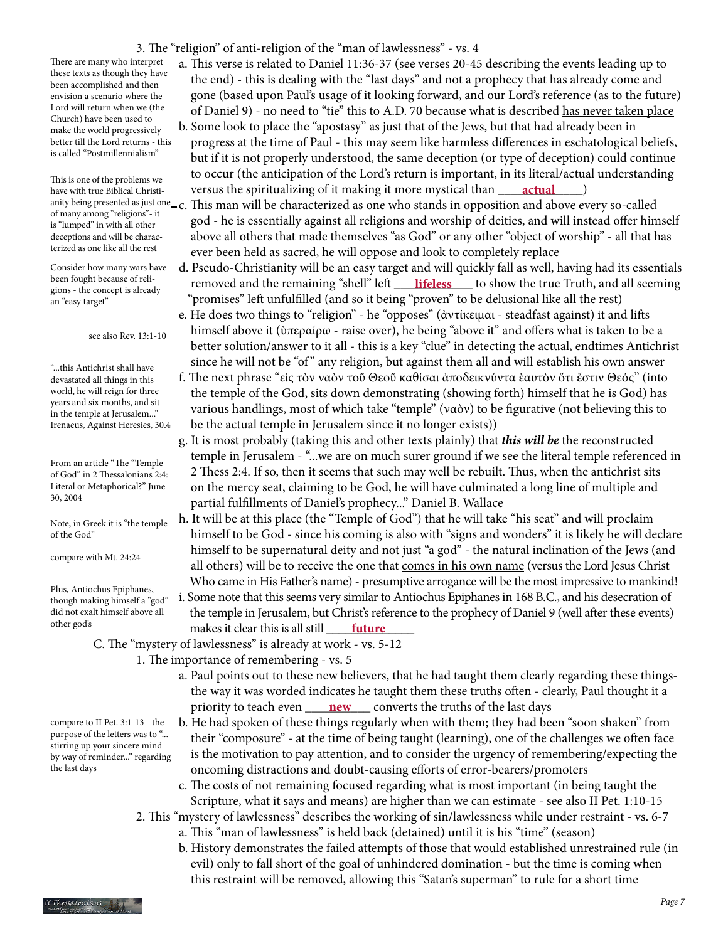3. The "religion" of anti-religion of the "man of lawlessness" - vs. 4

There are many who interpret these texts as though they have been accomplished and then envision a scenario where the Lord will return when we (the Church) have been used to make the world progressively better till the Lord returns - this is called "Postmillennialism"

This is one of the problems we have with true Biblical Christiof many among "religions"- it is "lumped" in with all other deceptions and will be characterized as one like all the rest

Consider how many wars have been fought because of religions - the concept is already an "easy target"

see also Rev. 13:1-10

"...this Antichrist shall have devastated all things in this world, he will reign for three years and six months, and sit in the temple at Jerusalem..." Irenaeus, Against Heresies, 30.4

From an article "The "Temple of God" in 2 Thessalonians 2:4: Literal or Metaphorical?" June 30, 2004

Note, in Greek it is "the temple of the God"

compare with Mt. 24:24

Plus, Antiochus Epiphanes, though making himself a "god" did not exalt himself above all other god's

compare to II Pet. 3:1-13 - the purpose of the letters was to "... stirring up your sincere mind by way of reminder..." regarding the last days

- a. This verse is related to Daniel 11:36-37 (see verses 20-45 describing the events leading up to the end) - this is dealing with the "last days" and not a prophecy that has already come and gone (based upon Paul's usage of it looking forward, and our Lord's reference (as to the future) of Daniel 9) - no need to "tie" this to A.D. 70 because what is described has never taken place
- b. Some look to place the "apostasy" as just that of the Jews, but that had already been in progress at the time of Paul - this may seem like harmless differences in eschatological beliefs, but if it is not properly understood, the same deception (or type of deception) could continue to occur (the anticipation of the Lord's return is important, in its literal/actual understanding have with true Biblical Christi-**computed in the spiritualizing of it making it more mystical than <u>construal</u> and**
- anity being presented as just one  $-c$ . This man will be characterized as one who stands in opposition and above every so-called god - he is essentially against all religions and worship of deities, and will instead offer himself above all others that made themselves "as God" or any other "object of worship" - all that has ever been held as sacred, he will oppose and look to completely replace
- d. Pseudo-Christianity will be an easy target and will quickly fall as well, having had its essentials been jought because of ren-<br>gions - the concent is already **removed and the remaining "shell" left** <u>lifeless</u> to show the true Truth, and all seeming "promises" left unfulfilled (and so it being "proven" to be delusional like all the rest)
	- e. He does two things to "religion" he "opposes" (ἀντίκειμαι steadfast against) it and lifts himself above it (ὑπεραίρω - raise over), he being "above it" and offers what is taken to be a better solution/answer to it all - this is a key "clue" in detecting the actual, endtimes Antichrist since he will not be "of " any religion, but against them all and will establish his own answer
	- f. The next phrase "εἰς τὸν ναὸν τοῦ Θεοῦ καθίσαι ἀποδεικνύντα ἑαυτὸν ὅτι ἔστιν Θεός" (into the temple of the God, sits down demonstrating (showing forth) himself that he is God) has various handlings, most of which take "temple" (ναὸν) to be figurative (not believing this to be the actual temple in Jerusalem since it no longer exists))
	- g. It is most probably (taking this and other texts plainly) that *this will be* the reconstructed temple in Jerusalem - "...we are on much surer ground if we see the literal temple referenced in 2 Thess 2:4. If so, then it seems that such may well be rebuilt. Thus, when the antichrist sits on the mercy seat, claiming to be God, he will have culminated a long line of multiple and partial fulfillments of Daniel's prophecy..." Daniel B. Wallace
	- h. It will be at this place (the "Temple of God") that he will take "his seat" and will proclaim himself to be God - since his coming is also with "signs and wonders" it is likely he will declare himself to be supernatural deity and not just "a god" - the natural inclination of the Jews (and all others) will be to receive the one that comes in his own name (versus the Lord Jesus Christ Who came in His Father's name) - presumptive arrogance will be the most impressive to mankind!
- i. Some note that this seems very similar to Antiochus Epiphanes in 168 B.C., and his desecration of the temple in Jerusalem, but Christ's reference to the prophecy of Daniel 9 (well after these events) other goas **the starting tensor in the starting of the starting of the starting of the starting of the starting of the starting of the starting of the starting of the starting of the starting of the starting of the startin** 
	- C. The "mystery of lawlessness" is already at work vs. 5-12
		- 1. The importance of remembering vs. 5
- a. Paul points out to these new believers, that he had taught them clearly regarding these things the way it was worded indicates he taught them these truths often - clearly, Paul thought it a priority to teach even <u>\_\_\_\_\_\_\_\_\_\_\_\_\_\_\_\_</u> converts the truths of the last days
	- b. He had spoken of these things regularly when with them; they had been "soon shaken" from their "composure" - at the time of being taught (learning), one of the challenges we often face is the motivation to pay attention, and to consider the urgency of remembering/expecting the oncoming distractions and doubt-causing efforts of error-bearers/promoters
	- c. The costs of not remaining focused regarding what is most important (in being taught the Scripture, what it says and means) are higher than we can estimate - see also II Pet. 1:10-15
	- 2. This "mystery of lawlessness" describes the working of sin/lawlessness while under restraint vs. 6-7 a. This "man of lawlessness" is held back (detained) until it is his "time" (season)
		- b. History demonstrates the failed attempts of those that would established unrestrained rule (in evil) only to fall short of the goal of unhindered domination - but the time is coming when this restraint will be removed, allowing this "Satan's superman" to rule for a short time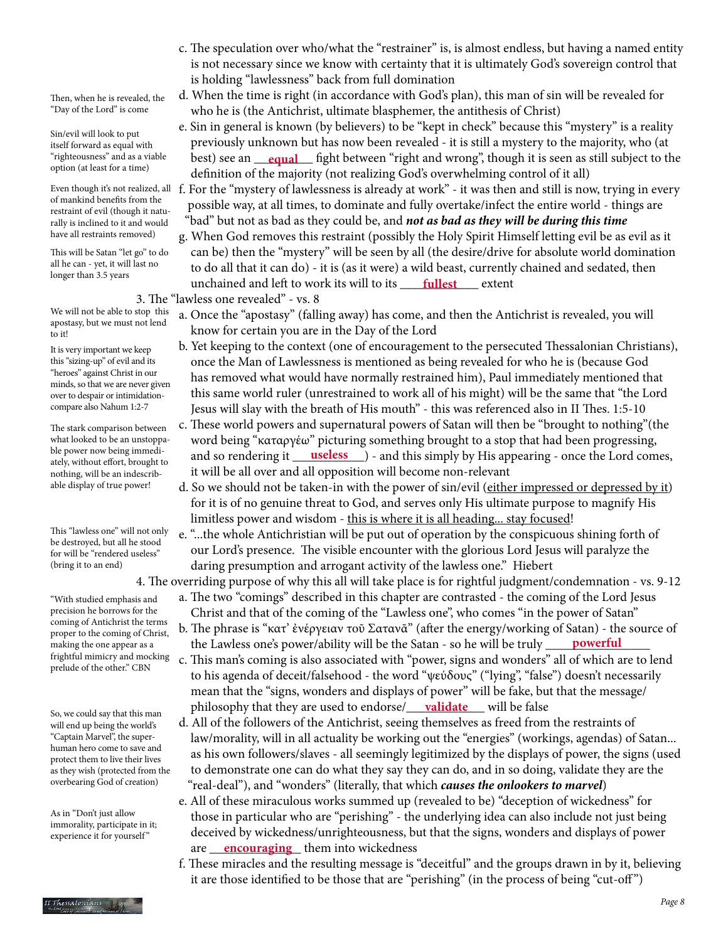- c. The speculation over who/what the "restrainer" is, is almost endless, but having a named entity is not necessary since we know with certainty that it is ultimately God's sovereign control that is holding "lawlessness" back from full domination
- d. When the time is right (in accordance with God's plan), this man of sin will be revealed for who he is (the Antichrist, ultimate blasphemer, the antithesis of Christ)
- e. Sin in general is known (by believers) to be "kept in check" because this "mystery" is a reality previously unknown but has now been revealed - it is still a mystery to the majority, who (at "righteousness" and as a viable best) see an <u>equal</u> fight between "right and wrong", though it is seen as still subject to the definition of the majority (not realizing God's overwhelming control of it all)
	- f. For the "mystery of lawlessness is already at work" it was then and still is now, trying in every possible way, at all times, to dominate and fully overtake/infect the entire world - things are "bad" but not as bad as they could be, and *not as bad as they will be during this time*
- g. When God removes this restraint (possibly the Holy Spirit Himself letting evil be as evil as it can be) then the "mystery" will be seen by all (the desire/drive for absolute world domination to do all that it can do) - it is (as it were) a wild beast, currently chained and sedated, then **unchained and left to work its will to its** <u>fullest</u> extent
	- 3. The "lawless one revealed" vs. 8
		- a. Once the "apostasy" (falling away) has come, and then the Antichrist is revealed, you will know for certain you are in the Day of the Lord
		- b. Yet keeping to the context (one of encouragement to the persecuted Thessalonian Christians), once the Man of Lawlessness is mentioned as being revealed for who he is (because God has removed what would have normally restrained him), Paul immediately mentioned that this same world ruler (unrestrained to work all of his might) will be the same that "the Lord Jesus will slay with the breath of His mouth" - this was referenced also in II Thes. 1:5-10
- c. These world powers and supernatural powers of Satan will then be "brought to nothing"(the word being "καταργέω" picturing something brought to a stop that had been progressing, ble power now being immedi-<br>ately without effort, brought to and so rendering it <u>useless</u> ) - and this simply by His appearing - once the Lord comes, it will be all over and all opposition will become non-relevant
	- d. So we should not be taken-in with the power of sin/evil (either impressed or depressed by it) for it is of no genuine threat to God, and serves only His ultimate purpose to magnify His limitless power and wisdom - this is where it is all heading... stay focused!
	- e. "...the whole Antichristian will be put out of operation by the conspicuous shining forth of our Lord's presence. The visible encounter with the glorious Lord Jesus will paralyze the daring presumption and arrogant activity of the lawless one." Hiebert

4. The overriding purpose of why this all will take place is for rightful judgment/condemnation - vs. 9-12

- a. The two "comings" described in this chapter are contrasted the coming of the Lord Jesus Christ and that of the coming of the "Lawless one", who comes "in the power of Satan"
- b. The phrase is "κατ' ἐνέργειαν τοῦ Σατανᾶ" (after the energy/working of Satan) the source of the Lawless one's power/ability will be the Satan - so he will be truly \_\_\_\_\_\_\_\_\_\_\_\_\_\_\_\_ **powerful**
- c. This man's coming is also associated with "power, signs and wonders" all of which are to lend to his agenda of deceit/falsehood - the word "ψεύδους" ("lying", "false") doesn't necessarily mean that the "signs, wonders and displays of power" will be fake, but that the message/ so we could cay that this man **philosophy that they are used to endorse**/**\_\_\_\_<u>validate</u> \_\_\_\_\_\_ will be false** 
	- d. All of the followers of the Antichrist, seeing themselves as freed from the restraints of law/morality, will in all actuality be working out the "energies" (workings, agendas) of Satan... as his own followers/slaves - all seemingly legitimized by the displays of power, the signs (used to demonstrate one can do what they say they can do, and in so doing, validate they are the "real-deal"), and "wonders" (literally, that which *causes the onlookers to marvel*)
- e. All of these miraculous works summed up (revealed to be) "deception of wickedness" for those in particular who are "perishing" - the underlying idea can also include not just being deceived by wickedness/unrighteousness, but that the signs, wonders and displays of power are <u>encouraging</u> them into wickedness
	- f. These miracles and the resulting message is "deceitful" and the groups drawn in by it, believing it are those identified to be those that are "perishing" (in the process of being "cut-off ")

Then, when he is revealed, the "Day of the Lord" is come

Sin/evil will look to put itself forward as equal with "righteousness" and as a viable option (at least for a time)

Even though it's not realized, all of mankind benefits from the restraint of evil (though it naturally is inclined to it and would have all restraints removed)

This will be Satan "let go" to do all he can - yet, it will last no longer than 3.5 years

We will not be able to stop this apostasy, but we must not lend to it!

It is very important we keep this "sizing-up" of evil and its "heroes" against Christ in our minds, so that we are never given over to despair or intimidationcompare also Nahum 1:2-7

The stark comparison between what looked to be an unstoppable power now being immediately, without effort, brought to nothing, will be an indescribable display of true power!

This "lawless one" will not only be destroyed, but all he stood for will be "rendered useless" (bring it to an end)

"With studied emphasis and precision he borrows for the coming of Antichrist the terms proper to the coming of Christ, making the one appear as a frightful mimicry and mocking prelude of the other." CBN

So, we could say that this man will end up being the world's "Captain Marvel", the superhuman hero come to save and protect them to live their lives as they wish (protected from the overbearing God of creation)

As in "Don't just allow immorality, participate in it; experience it for yourself"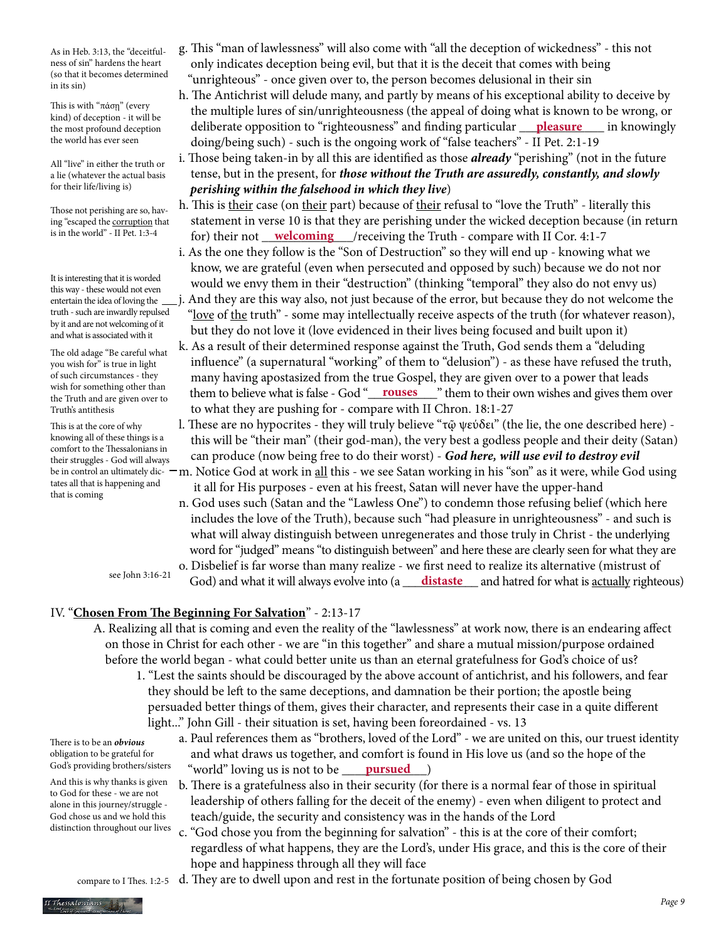As in Heb. 3:13, the "deceitfulness of sin" hardens the heart (so that it becomes determined in its sin)

This is with "πάσῃ" (every kind) of deception - it will be the most profound deception the world has ever seen

All "live" in either the truth or a lie (whatever the actual basis for their life/living is)

Those not perishing are so, having "escaped the corruption that is in the world" - II Pet. 1:3-4

It is interesting that it is worded this way - these would not even entertain the idea of loving the truth - such are inwardly repulsed by it and are not welcoming of it and what is associated with it

The old adage "Be careful what you wish for" is true in light of such circumstances - they wish for something other than the Truth and are given over to Truth's antithesis

This is at the core of why knowing all of these things is a comfort to the Thessalonians in their struggles - God will always tates all that is happening and that is coming

- g. This "man of lawlessness" will also come with "all the deception of wickedness" this not only indicates deception being evil, but that it is the deceit that comes with being "unrighteous" - once given over to, the person becomes delusional in their sin
- h. The Antichrist will delude many, and partly by means of his exceptional ability to deceive by the multiple lures of sin/unrighteousness (the appeal of doing what is known to be wrong, or the most profound deception deliberate opposition to "righteousness" and finding particular **pleasure** in knowingly doing/being such) - such is the ongoing work of "false teachers" - II Pet. 2:1-19
	- i. Those being taken-in by all this are identified as those *already* "perishing" (not in the future tense, but in the present, for *those without the Truth are assuredly, constantly, and slowly perishing within the falsehood in which they live*)
- h. This is their case (on their part) because of their refusal to "love the Truth" literally this statement in verse 10 is that they are perishing under the wicked deception because (in return is in the world" - II Pet. 1:3-4 **for)** their not <u>welcoming</u> /receiving the Truth - compare with II Cor. 4:1-7
	- i. As the one they follow is the "Son of Destruction" so they will end up knowing what we know, we are grateful (even when persecuted and opposed by such) because we do not nor would we envy them in their "destruction" (thinking "temporal" they also do not envy us) j. And they are this way also, not just because of the error, but because they do not welcome the
	- "love of the truth" some may intellectually receive aspects of the truth (for whatever reason), but they do not love it (love evidenced in their lives being focused and built upon it)
- k. As a result of their determined response against the Truth, God sends them a "deluding influence" (a supernatural "working" of them to "delusion") - as these have refused the truth, many having apostasized from the true Gospel, they are given over to a power that leads wish for something other than<br>the Truth and are given over to **them to believe what is false - God** "**\_\_\_\_\_\_\_\_\_\_\_\_\_\_**" them to their own wishes and gives them over to what they are pushing for - compare with II Chron. 18:1-27
	- l. These are no hypocrites they will truly believe "τῷ ψεύδει" (the lie, the one described here) this will be "their man" (their god-man), the very best a godless people and their deity (Satan) can produce (now being free to do their worst) - *God here, will use evil to destroy evil*
- be in control an ultimately dic- <code>—</sup>m.</code> Notice God at work in <u>all</u> this we see Satan working in his "son" as it were, while God using it all for His purposes - even at his freest, Satan will never have the upper-hand
	- n. God uses such (Satan and the "Lawless One") to condemn those refusing belief (which here includes the love of the Truth), because such "had pleasure in unrighteousness" - and such is what will alway distinguish between unregenerates and those truly in Christ - the underlying word for "judged" means "to distinguish between" and here these are clearly seen for what they are
	- see John 3:16-21
- o. Disbelief is far worse than many realize we first need to realize its alternative (mistrust of see John 3:10-21 God) and what it will always evolve into (a <u>distaste</u> and hatred for what is <u>actually</u> righteous)

# IV. "**Chosen From The Beginning For Salvation**" - 2:13-17

- A. Realizing all that is coming and even the reality of the "lawlessness" at work now, there is an endearing affect on those in Christ for each other - we are "in this together" and share a mutual mission/purpose ordained before the world began - what could better unite us than an eternal gratefulness for God's choice of us?
	- 1. "Lest the saints should be discouraged by the above account of antichrist, and his followers, and fear they should be left to the same deceptions, and damnation be their portion; the apostle being persuaded better things of them, gives their character, and represents their case in a quite different light..." John Gill - their situation is set, having been foreordained - vs. 13

There is to be an *obvious* obligation to be grateful for God's providing brothers/sisters

And this is why thanks is given to God for these - we are not alone in this journey/struggle - God chose us and we hold this distinction throughout our lives

- a. Paul references them as "brothers, loved of the Lord" we are united on this, our truest identity and what draws us together, and comfort is found in His love us (and so the hope of the God's providing brothers/sisters world" loving us is not to be warsued and head and head and head and head and h
	- b. There is a gratefulness also in their security (for there is a normal fear of those in spiritual leadership of others falling for the deceit of the enemy) - even when diligent to protect and teach/guide, the security and consistency was in the hands of the Lord
	- c. "God chose you from the beginning for salvation" this is at the core of their comfort; regardless of what happens, they are the Lord's, under His grace, and this is the core of their hope and happiness through all they will face

compare to I Thes. 1:2-5 d. They are to dwell upon and rest in the fortunate position of being chosen by God

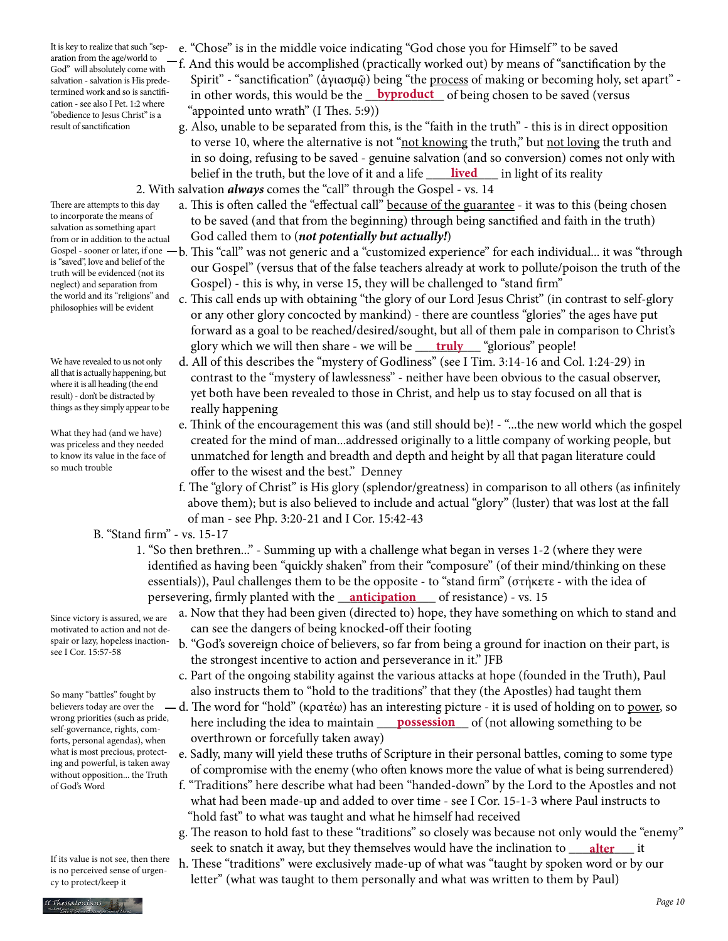It is key to realize that such "separation from the age/world to God" will absolutely come with salvation - salvation is His predetermined work and so is sanctification - see also I Pet. 1:2 where "obedience to Jesus Christ" is a result of sanctification

There are attempts to this day to incorporate the means of salvation as something apart from or in addition to the actual is "saved", love and belief of the truth will be evidenced (not its neglect) and separation from the world and its "religions" and philosophies will be evident

We have revealed to us not only all that is actually happening, but where it is all heading (the end result) - don't be distracted by

What they had (and we have) was priceless and they needed to know its value in the face of so much trouble

- e. "Chose" is in the middle voice indicating "God chose you for Himself " to be saved
- f. And this would be accomplished (practically worked out) by means of "sanctification by the Spirit" - "sanctification" (ἁγιασμῷ) being "the process of making or becoming holy, set apart" termined work and so is sanctifi-<br>in other words, this would be the <u>byproduct</u> of being chosen to be saved (versus "appointed unto wrath" (I Thes. 5:9))
- g. Also, unable to be separated from this, is the "faith in the truth" this is in direct opposition to verse 10, where the alternative is not "not knowing the truth," but not loving the truth and in so doing, refusing to be saved - genuine salvation (and so conversion) comes not only with belief in the truth, but the love of it and a life <u>\_\_\_\_\_**lived**\_\_\_\_</u> in light of its reality
	- 2. With salvation *always* comes the "call" through the Gospel vs. 14
		- a. This is often called the "effectual call" because of the guarantee it was to this (being chosen to be saved (and that from the beginning) through being sanctified and faith in the truth) God called them to (*not potentially but actually!*)
- Gospel sooner or later, if one  $-b$ . This "call" was not generic and a "customized experience" for each individual… it was "through our Gospel" (versus that of the false teachers already at work to pollute/poison the truth of the Gospel) - this is why, in verse 15, they will be challenged to "stand firm"
- c. This call ends up with obtaining "the glory of our Lord Jesus Christ" (in contrast to self-glory or any other glory concocted by mankind) - there are countless "glories" the ages have put forward as a goal to be reached/desired/sought, but all of them pale in comparison to Christ's glory which we will then share - we will be <u>\_\_\_\_**truly**\_\_\_\_</u> "glorious" people!
- d. All of this describes the "mystery of Godliness" (see I Tim. 3:14-16 and Col. 1:24-29) in contrast to the "mystery of lawlessness" - neither have been obvious to the casual observer, yet both have been revealed to those in Christ, and help us to stay focused on all that is things as they simply appear to be really happening
	- e. Think of the encouragement this was (and still should be)! "...the new world which the gospel created for the mind of man...addressed originally to a little company of working people, but unmatched for length and breadth and depth and height by all that pagan literature could offer to the wisest and the best." Denney
	- f. The "glory of Christ" is His glory (splendor/greatness) in comparison to all others (as infinitely above them); but is also believed to include and actual "glory" (luster) that was lost at the fall of man - see Php. 3:20-21 and I Cor. 15:42-43
	- B. "Stand firm" vs. 15-17
- 1. "So then brethren..." Summing up with a challenge what began in verses 1-2 (where they were identified as having been "quickly shaken" from their "composure" (of their mind/thinking on these essentials)), Paul challenges them to be the opposite - to "stand firm" (στήκετε - with the idea of persevering, firmly planted with the <u>\_\_**anticipation**\_\_\_\_</u> of resistance) - vs. 15
	- a. Now that they had been given (directed to) hope, they have something on which to stand and can see the dangers of being knocked-off their footing
- spair or lazy, hopeless inaction- b. "God's sovereign choice of believers, so far from being a ground for inaction on their part, is the strongest incentive to action and perseverance in it." JFB
	- c. Part of the ongoing stability against the various attacks at hope (founded in the Truth), Paul also instructs them to "hold to the traditions" that they (the Apostles) had taught them
- $-d$ . The word for "hold" (κρατέω) has an interesting picture it is used of holding on to power, so wrong priorities (such as pride, here including the idea to maintain <u>possession</u> of (not allowing something to be overthrown or forcefully taken away)
	- e. Sadly, many will yield these truths of Scripture in their personal battles, coming to some type of compromise with the enemy (who often knows more the value of what is being surrendered)
	- f. "Traditions" here describe what had been "handed-down" by the Lord to the Apostles and not what had been made-up and added to over time - see I Cor. 15-1-3 where Paul instructs to "hold fast" to what was taught and what he himself had received
- g. The reason to hold fast to these "traditions" so closely was because not only would the "enemy" seek to snatch it away, but they themselves would have the inclination to <u>\_\_\_\_\_\_\_\_\_\_</u> it
	- h. These "traditions" were exclusively made-up of what was "taught by spoken word or by our letter" (what was taught to them personally and what was written to them by Paul)

Since victory is assured, we are motivated to action and not desee I Cor. 15:57-58

So many "battles" fought by believers today are over the wrong priorities (such as pride, self-governance, rights, comforts, personal agendas), when what is most precious, protecting and powerful, is taken away without opposition... the Truth of God's Word

If its value is not see, then there is no perceived sense of urgency to protect/keep it

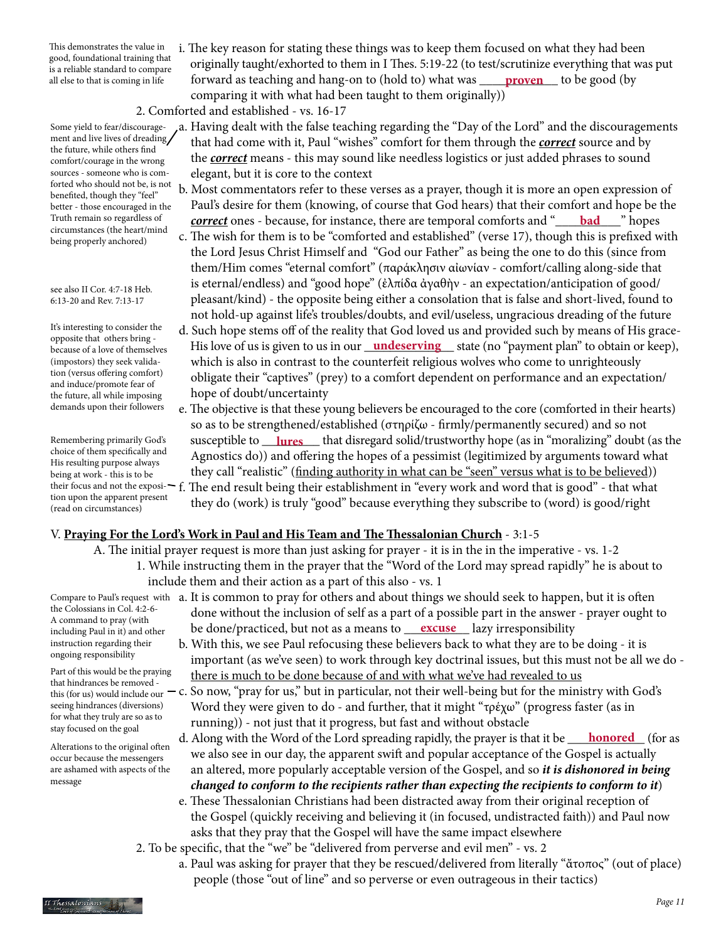This demonstrates the value in good, foundational training that is a reliable standard to compare

 i. The key reason for stating these things was to keep them focused on what they had been originally taught/exhorted to them in I Thes. 5:19-22 (to test/scrutinize everything that was put all else to that is coming in life **produced** as teaching and hang-on to (hold to) what was <u>proven</u> to be good (by comparing it with what had been taught to them originally))

2. Comforted and established - vs. 16-17

- a. Having dealt with the false teaching regarding the "Day of the Lord" and the discouragements that had come with it, Paul "wishes" comfort for them through the *correct* source and by the *correct* means - this may sound like needless logistics or just added phrases to sound elegant, but it is core to the context b. Most commentators refer to these verses as a prayer, though it is more an open expression of
- Paul's desire for them (knowing, of course that God hears) that their comfort and hope be the Truth remain so regardless of **correct** ones - because, for instance, there are temporal comforts and "**\_\_\_\_\_bad**\_\_\_\_\_" hopes
	- c. The wish for them is to be "comforted and established" (verse 17), though this is prefixed with the Lord Jesus Christ Himself and "God our Father" as being the one to do this (since from them/Him comes "eternal comfort" (παράκλησιν αἰωνίαν - comfort/calling along-side that is eternal/endless) and "good hope" (ἐλπίδα ἀγαθὴν - an expectation/anticipation of good/ pleasant/kind) - the opposite being either a consolation that is false and short-lived, found to not hold-up against life's troubles/doubts, and evil/useless, ungracious dreading of the future
- d. Such hope stems off of the reality that God loved us and provided such by means of His grace because of a love of themselves His love of us is given to us in our <u>undeserving</u> state (no "payment plan" to obtain or keep), which is also in contrast to the counterfeit religious wolves who come to unrighteously obligate their "captives" (prey) to a comfort dependent on performance and an expectation/ hope of doubt/uncertainty
- e. The objective is that these young believers be encouraged to the core (comforted in their hearts) so as to be strengthened/established (στηρίζω - firmly/permanently secured) and so not Remembering primarily God's susceptible to <u>lures</u> that disregard solid/trustworthy hope (as in "moralizing" doubt (as the Agnostics do)) and offering the hopes of a pessimist (legitimized by arguments toward what they call "realistic" (finding authority in what can be "seen" versus what is to be believed)) their focus and not the exposi- $\vdash$  f. The end result being their establishment in "every work and word that is good" - that what they do (work) is truly "good" because everything they subscribe to (word) is good/right

# V. **Praying For the Lord's Work in Paul and His Team and The Thessalonian Church** - 3:1-5

- A. The initial prayer request is more than just asking for prayer it is in the in the imperative vs. 1-2 1. While instructing them in the prayer that the "Word of the Lord may spread rapidly" he is about to include them and their action as a part of this also - vs. 1
- Compare to Paul's request with  $\,$  a. It is common to pray for others and about things we should seek to happen, but it is often done without the inclusion of self as a part of a possible part in the answer - prayer ought to including Paul in it) and other be done/practiced, but not as a means to <u>excuse</u> lazy irresponsibility
	- b. With this, we see Paul refocusing these believers back to what they are to be doing it is important (as we've seen) to work through key doctrinal issues, but this must not be all we do there is much to be done because of and with what we've had revealed to us
	- c. So now, "pray for us," but in particular, not their well-being but for the ministry with God's Word they were given to do - and further, that it might "τρέχω" (progress faster (as in running)) - not just that it progress, but fast and without obstacle
	- d. Along with the Word of the Lord spreading rapidly, the prayer is that it be  $\perp$  we also see in our day, the apparent swift and popular acceptance of the Gospel is actually an altered, more popularly acceptable version of the Gospel, and so *it is dishonored in being changed to conform to the recipients rather than expecting the recipients to conform to it*) **honored** (for as
	- e. These Thessalonian Christians had been distracted away from their original reception of the Gospel (quickly receiving and believing it (in focused, undistracted faith)) and Paul now asks that they pray that the Gospel will have the same impact elsewhere
	- 2. To be specific, that the "we" be "delivered from perverse and evil men" vs. 2
		- a. Paul was asking for prayer that they be rescued/delivered from literally "ἄτοπος" (out of place) people (those "out of line" and so perverse or even outrageous in their tactics)

Some yield to fear/discouragement and live lives of dreading the future, while others find comfort/courage in the wrong sources - someone who is comforted who should not be, is not benefited, though they "feel" better - those encouraged in the Truth remain so regardless of circumstances (the heart/mind being properly anchored)

see also II Cor. 4:7-18 Heb. 6:13-20 and Rev. 7:13-17

It's interesting to consider the opposite that others bring because of a love of themselves (impostors) they seek validation (versus offering comfort) and induce/promote fear of the future, all while imposing demands upon their followers

Remembering primarily God's choice of them specifically and His resulting purpose always being at work - this is to be tion upon the apparent present (read on circumstances)

the Colossians in Col. 4:2-6- A command to pray (with including Paul in it) and other instruction regarding their ongoing responsibility

Part of this would be the praying that hindrances be removed this (for us) would include our seeing hindrances (diversions) for what they truly are so as to stay focused on the goal

Alterations to the original often occur because the messengers are ashamed with aspects of the message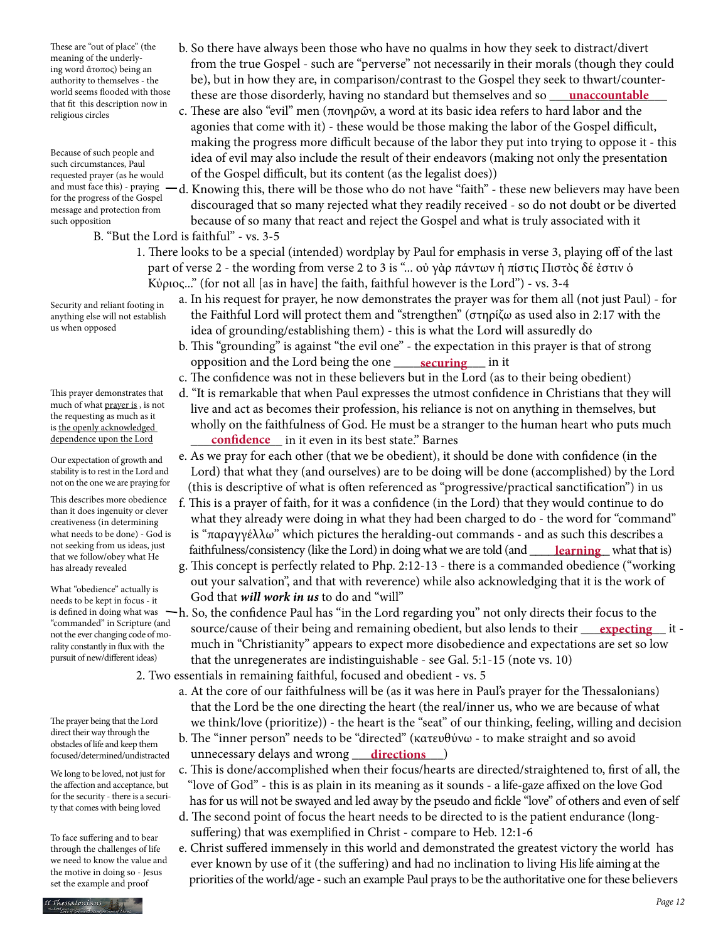world seems flooded with those these are those disorderly, having no standard but themselves and so <u>unaccountable</u> These are "out of place" (the meaning of the underlying word ἄτοπος) being an authority to themselves - the world seems flooded with those that fit this description now in religious circles

Because of such people and such circumstances, Paul requested prayer (as he would and must face this) - praying for the progress of the Gospel message and protection from such opposition

- B. "But the Lord is faithful" vs. 3-5
	- 1. There looks to be a special (intended) wordplay by Paul for emphasis in verse 3, playing off of the last part of verse 2 - the wording from verse 2 to 3 is "... οὐ γὰρ πάντων ἡ πίστις Πιστὸς δέ ἐστιν ὁ Κύριος..." (for not all [as in have] the faith, faithful however is the Lord") - vs. 3-4

b. So there have always been those who have no qualms in how they seek to distract/divert

c. These are also "evil" men (πονηρῶν, a word at its basic idea refers to hard labor and the agonies that come with it) - these would be those making the labor of the Gospel difficult, making the progress more difficult because of the labor they put into trying to oppose it - this idea of evil may also include the result of their endeavors (making not only the presentation

of the Gospel difficult, but its content (as the legalist does))

 from the true Gospel - such are "perverse" not necessarily in their morals (though they could be), but in how they are, in comparison/contrast to the Gospel they seek to thwart/counter-

 d. Knowing this, there will be those who do not have "faith" - these new believers may have been discouraged that so many rejected what they readily received - so do not doubt or be diverted

because of so many that react and reject the Gospel and what is truly associated with it

 a. In his request for prayer, he now demonstrates the prayer was for them all (not just Paul) - for the Faithful Lord will protect them and "strengthen" (στηρίζω as used also in 2:17 with the idea of grounding/establishing them) - this is what the Lord will assuredly do

- b. This "grounding" is against "the evil one" the expectation in this prayer is that of strong opposition and the Lord being the one <u>securing</u> in it
	- c. The confidence was not in these believers but in the Lord (as to their being obedient)
- d. "It is remarkable that when Paul expresses the utmost confidence in Christians that they will live and act as becomes their profession, his reliance is not on anything in themselves, but wholly on the faithfulness of God. He must be a stranger to the human heart who puts much dependence upon the Lord **confidence** in it even in its best state." Barnes
	- e. As we pray for each other (that we be obedient), it should be done with confidence (in the Lord) that what they (and ourselves) are to be doing will be done (accomplished) by the Lord (this is descriptive of what is often referenced as "progressive/practical sanctification") in us
- f. This is a prayer of faith, for it was a confidence (in the Lord) that they would continue to do what they already were doing in what they had been charged to do - the word for "command" is "παραγγέλλω" which pictures the heralding-out commands - and as such this describes a not seeking from us ideas, just faithfulness/consistency (like the Lord) in doing what we are told (and <u>\_\_\_\_\_<mark>learning</mark></u>\_\_ what that is)
	- g. This concept is perfectly related to Php. 2:12-13 there is a commanded obedience ("working out your salvation", and that with reverence) while also acknowledging that it is the work of God that *will work in us* to do and "will"
- is defined in doing what was  $-h$ . So, the confidence Paul has "in the Lord regarding you" not only directs their focus to the commanded in scripture (and source/cause of their being and remaining obedient, but also lends to their <u>expecting</u> it much in "Christianity" appears to expect more disobedience and expectations are set so low that the unregenerates are indistinguishable - see Gal. 5:1-15 (note vs. 10)
	- 2. Two essentials in remaining faithful, focused and obedient vs. 5
		- a. At the core of our faithfulness will be (as it was here in Paul's prayer for the Thessalonians) that the Lord be the one directing the heart (the real/inner us, who we are because of what we think/love (prioritize)) - the heart is the "seat" of our thinking, feeling, willing and decision
- b. The "inner person" needs to be "directed" (κατευθύνω to make straight and so avoid focused/determined/undistracted unnecessary delays and wrong <u>directions</u> )
	- c. This is done/accomplished when their focus/hearts are directed/straightened to, first of all, the "love of God" - this is as plain in its meaning as it sounds - a life-gaze affixed on the love God has for us will not be swayed and led away by the pseudo and fickle "love" of others and even of self
	- d. The second point of focus the heart needs to be directed to is the patient endurance (long suffering) that was exemplified in Christ - compare to Heb. 12:1-6
	- e. Christ suffered immensely in this world and demonstrated the greatest victory the world has ever known by use of it (the suffering) and had no inclination to living His life aiming at the priorities of the world/age - such an example Paul prays to be the authoritative one for these believers

Security and reliant footing in anything else will not establish us when opposed

This prayer demonstrates that much of what prayer is , is not the requesting as much as it is the openly acknowledged dependence upon the Lord

Our expectation of growth and stability is to rest in the Lord and not on the one we are praying for

This describes more obedience than it does ingenuity or clever creativeness (in determining what needs to be done) - God is not seeking from us ideas, just that we follow/obey what He has already revealed

What "obedience" actually is needs to be kept in focus - it "commanded" in Scripture (and not the ever changing code of morality constantly in flux with the pursuit of new/different ideas)

The prayer being that the Lord direct their way through the obstacles of life and keep them focused/determined/undistracted

We long to be loved, not just for the affection and acceptance, but for the security - there is a security that comes with being loved

To face suffering and to bear through the challenges of life we need to know the value and the motive in doing so - Jesus set the example and proof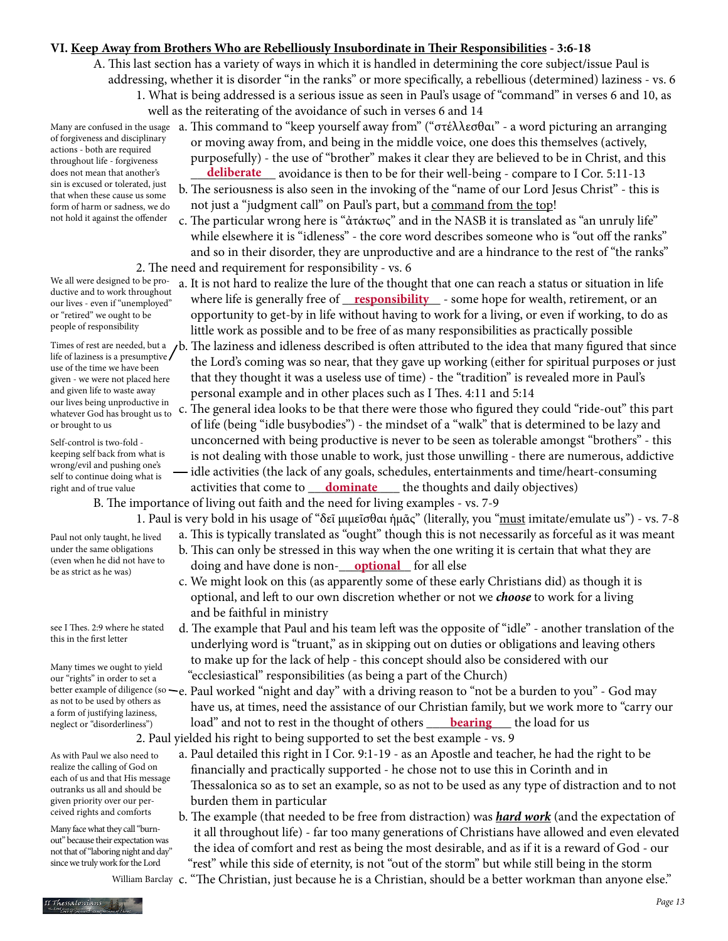## **VI. Keep Away from Brothers Who are Rebelliously Insubordinate in Their Responsibilities - 3:6-18**

A. This last section has a variety of ways in which it is handled in determining the core subject/issue Paul is addressing, whether it is disorder "in the ranks" or more specifically, a rebellious (determined) laziness - vs. 6

- 1. What is being addressed is a serious issue as seen in Paul's usage of "command" in verses 6 and 10, as well as the reiterating of the avoidance of such in verses 6 and 14
- of forgiveness and disciplinary actions - both are required throughout life - forgiveness does not mean that another's sin is excused or tolerated, just that when these cause us some form of harm or sadness, we do not hold it against the offender

We all were designed to be productive and to work throughout our lives - even if "unemployed" or "retired" we ought to be people of responsibility

life of laziness is a presumptive use of the time we have been given - we were not placed here and given life to waste away our lives being unproductive in whatever God has brought us to or brought to us

Self-control is two-fold keeping self back from what is wrong/evil and pushing one's self to continue doing what is right and of true value

Paul not only taught, he lived under the same obligations (even when he did not have to

be as strict as he was)

see I Thes. 2:9 where he stated this in the first letter

Many times we ought to yield our "rights" in order to set a as not to be used by others as a form of justifying laziness, neglect or "disorderliness")

As with Paul we also need to realize the calling of God on each of us and that His message outranks us all and should be given priority over our perceived rights and comforts

Many face what they call "burnout" because their expectation was not that of "laboring night and day" since we truly work for the Lord

- Many are confused in the usage  $\,$  a. This command to "keep yourself away from" ("στέλλεσθαι" a word picturing an arranging or moving away from, and being in the middle voice, one does this themselves (actively, purposefully) - the use of "brother" makes it clear they are believed to be in Christ, and this does not mean that another's **deliberate** avoidance is then to be for their well-being - compare to I Cor. 5:11-13
	- b. The seriousness is also seen in the invoking of the "name of our Lord Jesus Christ" this is not just a "judgment call" on Paul's part, but a command from the top!
	- c. The particular wrong here is "ἀτάκτως" and in the NASB it is translated as "an unruly life" while elsewhere it is "idleness" - the core word describes someone who is "out off the ranks" and so in their disorder, they are unproductive and are a hindrance to the rest of "the ranks" 2. The need and requirement for responsibility - vs. 6
- a. It is not hard to realize the lure of the thought that one can reach a status or situation in life where life is generally free of \_\_\_\_\_\_\_\_\_\_\_\_\_\_\_ - some hope for wealth, retirement, or an **responsibility** opportunity to get-by in life without having to work for a living, or even if working, to do as little work as possible and to be free of as many responsibilities as practically possible
- Times of rest are needed, but a  $\mu$ b. The laziness and idleness described is often attributed to the idea that many figured that since the Lord's coming was so near, that they gave up working (either for spiritual purposes or just that they thought it was a useless use of time) - the "tradition" is revealed more in Paul's personal example and in other places such as I Thes. 4:11 and 5:14
	- c. The general idea looks to be that there were those who figured they could "ride-out" this part of life (being "idle busybodies") - the mindset of a "walk" that is determined to be lazy and unconcerned with being productive is never to be seen as tolerable amongst "brothers" - this is not dealing with those unable to work, just those unwilling - there are numerous, addictive  $\rightarrow$  idle activities (the lack of any goals, schedules, entertainments and time/heart-consuming
- right and of true value **contact activities that come to** <u>dominate</u> the thoughts and daily objectives) B. The importance of living out faith and the need for living examples - vs. 7-9
	- - 1. Paul is very bold in his usage of "δεῖ μιμεῖσθαι ἡμᾶς" (literally, you "must imitate/emulate us") vs. 7-8
- a. This is typically translated as "ought" though this is not necessarily as forceful as it was meant b. This can only be stressed in this way when the one writing it is certain that what they are (even when he did not have to doing and have done is non-<u>optional</u> for all else
	- c. We might look on this (as apparently some of these early Christians did) as though it is optional, and left to our own discretion whether or not we *choose* to work for a living and be faithful in ministry
	- d. The example that Paul and his team left was the opposite of "idle" another translation of the underlying word is "truant," as in skipping out on duties or obligations and leaving others to make up for the lack of help - this concept should also be considered with our "ecclesiastical" responsibilities (as being a part of the Church)
- better example of diligence (so —e. Paul worked "night and day" with a driving reason to "not be a burden to you" God may have us, at times, need the assistance of our Christian family, but we work more to "carry our neglect or "disorderliness") load" and not to rest in the thought of others <u> **bearing** </u> the load for us 2. Paul yielded his right to being supported to set the best example - vs. 9
	- a. Paul detailed this right in I Cor. 9:1-19 as an Apostle and teacher, he had the right to be financially and practically supported - he chose not to use this in Corinth and in Thessalonica so as to set an example, so as not to be used as any type of distraction and to not burden them in particular
	- b. The example (that needed to be free from distraction) was *hard work* (and the expectation of it all throughout life) - far too many generations of Christians have allowed and even elevated the idea of comfort and rest as being the most desirable, and as if it is a reward of God - our

 "rest" while this side of eternity, is not "out of the storm" but while still being in the storm c. "The Christian, just because he is a Christian, should be a better workman than anyone else." William Barclay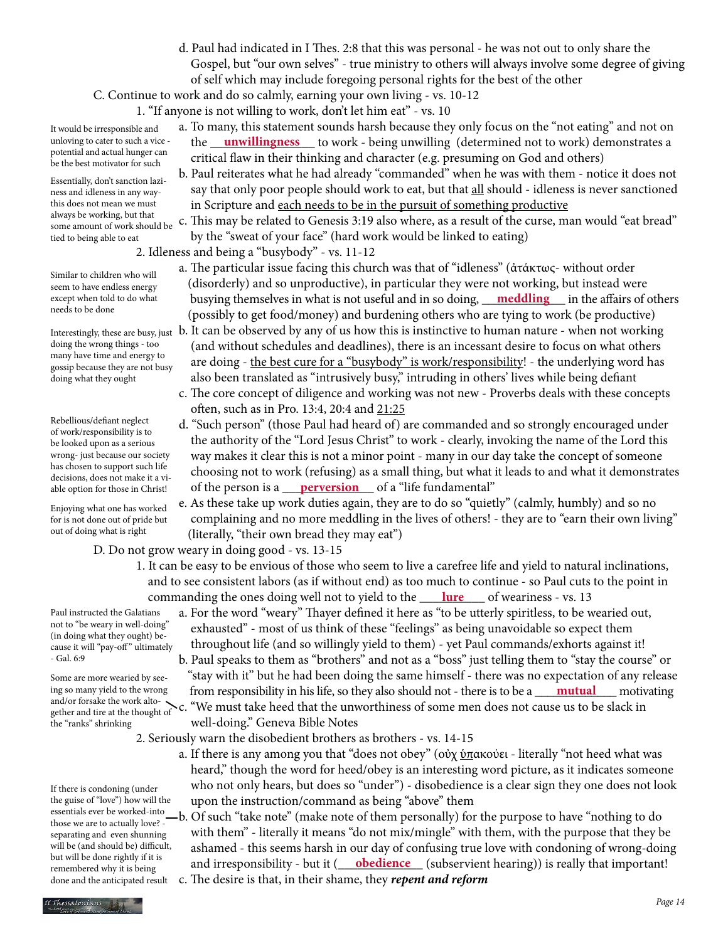d. Paul had indicated in I Thes. 2:8 that this was personal - he was not out to only share the Gospel, but "our own selves" - true ministry to others will always involve some degree of giving of self which may include foregoing personal rights for the best of the other

C. Continue to work and do so calmly, earning your own living - vs. 10-12

1. "If anyone is not willing to work, don't let him eat" - vs. 10

- a. To many, this statement sounds harsh because they only focus on the "not eating" and not on unloving to cater to such a vice - the <u>unwillingness</u> to work - being unwilling (determined not to work) demonstrates a critical flaw in their thinking and character (e.g. presuming on God and others)
	- b. Paul reiterates what he had already "commanded" when he was with them notice it does not say that only poor people should work to eat, but that all should - idleness is never sanctioned in Scripture and each needs to be in the pursuit of something productive

 c. This may be related to Genesis 3:19 also where, as a result of the curse, man would "eat bread" by the "sweat of your face" (hard work would be linked to eating)

- 2. Idleness and being a "busybody" vs. 11-12
- a. The particular issue facing this church was that of "idleness" (ἀτάκτως- without order (disorderly) and so unproductive), in particular they were not working, but instead were except when told to do what busying themselves in what is not useful and in so doing, <u>meddling</u> in the affairs of others (possibly to get food/money) and burdening others who are tying to work (be productive)
- Interestingly, these are busy, just  $\,$  b. It can be observed by any of us how this is instinctive to human nature when not working (and without schedules and deadlines), there is an incessant desire to focus on what others are doing - the best cure for a "busybody" is work/responsibility! - the underlying word has also been translated as "intrusively busy," intruding in others' lives while being defiant
	- c. The core concept of diligence and working was not new Proverbs deals with these concepts often, such as in Pro. 13:4, 20:4 and 21:25
- d. "Such person" (those Paul had heard of) are commanded and so strongly encouraged under the authority of the "Lord Jesus Christ" to work - clearly, invoking the name of the Lord this way makes it clear this is not a minor point - many in our day take the concept of someone choosing not to work (refusing) as a small thing, but what it leads to and what it demonstrates able option for those in Christ! **of the person is a <u> <b>perversion** </u> of a "life fundamental"
	- e. As these take up work duties again, they are to do so "quietly" (calmly, humbly) and so no complaining and no more meddling in the lives of others! - they are to "earn their own living" (literally, "their own bread they may eat")

D. Do not grow weary in doing good - vs. 13-15

- 1. It can be easy to be envious of those who seem to live a carefree life and yield to natural inclinations, and to see consistent labors (as if without end) as too much to continue - so Paul cuts to the point in commanding the ones doing well not to yield to the <u>\_\_\_\_\_\_\_\_\_\_\_\_\_\_\_\_</u> of weariness - vs. 13
	- a. For the word "weary" Thayer defined it here as "to be utterly spiritless, to be wearied out, exhausted" - most of us think of these "feelings" as being unavoidable so expect them throughout life (and so willingly yield to them) - yet Paul commands/exhorts against it!
- b. Paul speaks to them as "brothers" and not as a "boss" just telling them to "stay the course" or "stay with it" but he had been doing the same himself - there was no expectation of any release ing so many yield to the wrong from responsibility in his life, so they also should not - there is to be a <u>mutual</u> motivating and/or forsake the work alto-<br>gether and tire at the thought of c. "We must take heed that the unworthiness of some men does not cause us to be slack in well-doing." Geneva Bible Notes

2. Seriously warn the disobedient brothers as brothers - vs. 14-15

- a. If there is any among you that "does not obey" (οὐχ <u>ὑπ</u>ακούει literally "not heed what was heard," though the word for heed/obey is an interesting word picture, as it indicates someone who not only hears, but does so "under") - disobedience is a clear sign they one does not look upon the instruction/command as being "above" them
- b. Of such "take note" (make note of them personally) for the purpose to have "nothing to do with them" - literally it means "do not mix/mingle" with them, with the purpose that they be ashamed - this seems harsh in our day of confusing true love with condoning of wrong-doing remembered why it is being and irresponsibility - but it (**\_\_\_\_obedience** \_\_\_ (subservient hearing)) is really that important! c. The desire is that, in their shame, they *repent and reform*

It would be irresponsible and unloving to cater to such a vice potential and actual hunger can be the best motivator for such

Essentially, don't sanction laziness and idleness in any waythis does not mean we must always be working, but that some amount of work should be tied to being able to eat

Similar to children who will seem to have endless energy except when told to do what needs to be done

doing the wrong things - too many have time and energy to gossip because they are not busy doing what they ought

Rebellious/defiant neglect of work/responsibility is to be looked upon as a serious wrong- just because our society has chosen to support such life decisions, does not make it a viable option for those in Christ!

Enjoying what one has worked for is not done out of pride but out of doing what is right

Paul instructed the Galatians not to "be weary in well-doing" (in doing what they ought) because it will "pay-off" ultimately - Gal. 6:9

Some are more wearied by seeing so many yield to the wrong gether and tire at the thought of the "ranks" shrinking

If there is condoning (under the guise of "love") how will the essentials ever be worked-into those we are to actually love? separating and even shunning will be (and should be) difficult, but will be done rightly if it is remembered why it is being done and the anticipated result